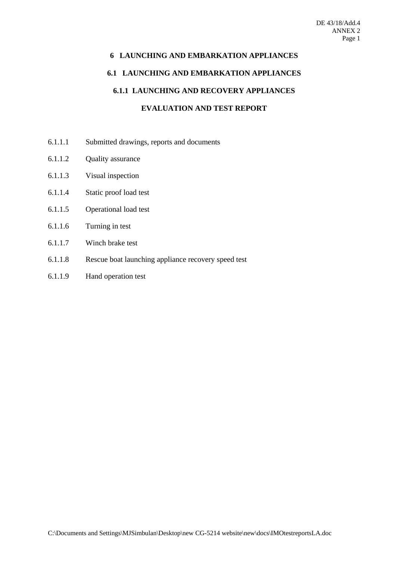# **6 LAUNCHING AND EMBARKATION APPLIANCES 6.1 LAUNCHING AND EMBARKATION APPLIANCES 6.1.1 LAUNCHING AND RECOVERY APPLIANCES EVALUATION AND TEST REPORT**

- 6.1.1.1 Submitted drawings, reports and documents
- 6.1.1.2 Quality assurance
- 6.1.1.3 Visual inspection
- 6.1.1.4 Static proof load test
- 6.1.1.5 Operational load test
- 6.1.1.6 Turning in test
- 6.1.1.7 Winch brake test
- 6.1.1.8 Rescue boat launching appliance recovery speed test
- 6.1.1.9 Hand operation test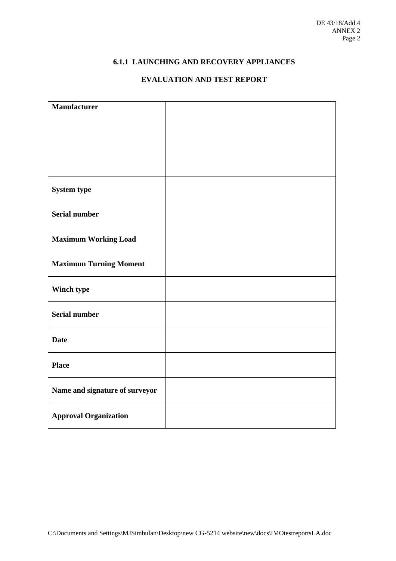# **6.1.1 LAUNCHING AND RECOVERY APPLIANCES**

# **EVALUATION AND TEST REPORT**

| <b>Manufacturer</b>            |  |
|--------------------------------|--|
|                                |  |
|                                |  |
|                                |  |
|                                |  |
|                                |  |
|                                |  |
| <b>System type</b>             |  |
|                                |  |
| <b>Serial number</b>           |  |
|                                |  |
|                                |  |
| <b>Maximum Working Load</b>    |  |
|                                |  |
| <b>Maximum Turning Moment</b>  |  |
|                                |  |
| Winch type                     |  |
|                                |  |
| <b>Serial number</b>           |  |
|                                |  |
| <b>Date</b>                    |  |
|                                |  |
|                                |  |
| <b>Place</b>                   |  |
|                                |  |
| Name and signature of surveyor |  |
|                                |  |
| <b>Approval Organization</b>   |  |
|                                |  |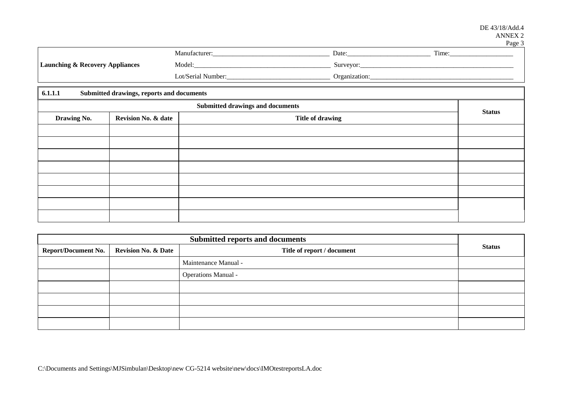| 45<br>═ |  |
|---------|--|
|---------|--|

|                                            | Manufacturer:      | Date:         | Time: |
|--------------------------------------------|--------------------|---------------|-------|
| <b>Launching &amp; Recovery Appliances</b> | Model:             | Surveyor:     |       |
|                                            | Lot/Serial Number: | Organization: |       |

| 6.1.1.1<br>Submitted drawings, reports and documents |                                |                  |               |
|------------------------------------------------------|--------------------------------|------------------|---------------|
| <b>Submitted drawings and documents</b>              |                                |                  |               |
| Drawing No.                                          | <b>Revision No. &amp; date</b> | Title of drawing | <b>Status</b> |
|                                                      |                                |                  |               |
|                                                      |                                |                  |               |
|                                                      |                                |                  |               |
|                                                      |                                |                  |               |
|                                                      |                                |                  |               |
|                                                      |                                |                  |               |
|                                                      |                                |                  |               |
|                                                      |                                |                  |               |

| <b>Submitted reports and documents</b> |                                |                            |               |  |
|----------------------------------------|--------------------------------|----------------------------|---------------|--|
| Report/Document No.                    | <b>Revision No. &amp; Date</b> | Title of report / document | <b>Status</b> |  |
|                                        |                                | Maintenance Manual -       |               |  |
|                                        |                                | <b>Operations Manual -</b> |               |  |
|                                        |                                |                            |               |  |
|                                        |                                |                            |               |  |
|                                        |                                |                            |               |  |
|                                        |                                |                            |               |  |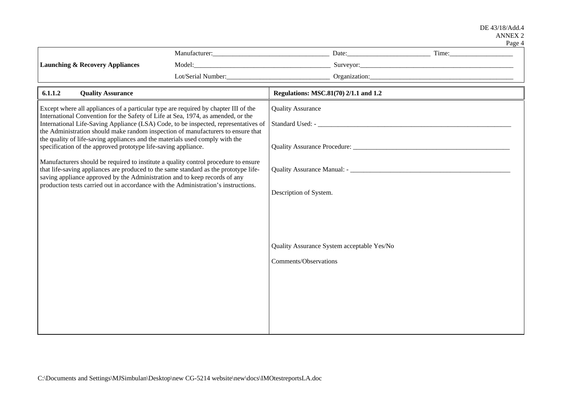| $-40^{\circ}$ |  |
|---------------|--|
|---------------|--|

|                                                                                                                                                                                                                                                             |  |                                                                                                                | r agu |
|-------------------------------------------------------------------------------------------------------------------------------------------------------------------------------------------------------------------------------------------------------------|--|----------------------------------------------------------------------------------------------------------------|-------|
|                                                                                                                                                                                                                                                             |  |                                                                                                                |       |
| <b>Launching &amp; Recovery Appliances</b>                                                                                                                                                                                                                  |  |                                                                                                                |       |
|                                                                                                                                                                                                                                                             |  | Lot/Serial Number: Campion Communication Communication Communication Communication Communication Communication |       |
| 6.1.1.2<br><b>Quality Assurance</b>                                                                                                                                                                                                                         |  | Regulations: MSC.81(70) 2/1.1 and 1.2                                                                          |       |
| Except where all appliances of a particular type are required by chapter III of the                                                                                                                                                                         |  | <b>Quality Assurance</b>                                                                                       |       |
| International Convention for the Safety of Life at Sea, 1974, as amended, or the<br>International Life-Saving Appliance (LSA) Code, to be inspected, representatives of<br>the Administration should make random inspection of manufacturers to ensure that |  |                                                                                                                |       |
| the quality of life-saving appliances and the materials used comply with the<br>specification of the approved prototype life-saving appliance.                                                                                                              |  |                                                                                                                |       |
| Manufacturers should be required to institute a quality control procedure to ensure<br>that life-saving appliances are produced to the same standard as the prototype life-<br>saving appliance approved by the Administration and to keep records of any   |  |                                                                                                                |       |
| production tests carried out in accordance with the Administration's instructions.                                                                                                                                                                          |  | Description of System.                                                                                         |       |
|                                                                                                                                                                                                                                                             |  |                                                                                                                |       |
|                                                                                                                                                                                                                                                             |  |                                                                                                                |       |
|                                                                                                                                                                                                                                                             |  | Quality Assurance System acceptable Yes/No                                                                     |       |
|                                                                                                                                                                                                                                                             |  | <b>Comments/Observations</b>                                                                                   |       |
|                                                                                                                                                                                                                                                             |  |                                                                                                                |       |
|                                                                                                                                                                                                                                                             |  |                                                                                                                |       |
|                                                                                                                                                                                                                                                             |  |                                                                                                                |       |
|                                                                                                                                                                                                                                                             |  |                                                                                                                |       |
|                                                                                                                                                                                                                                                             |  |                                                                                                                |       |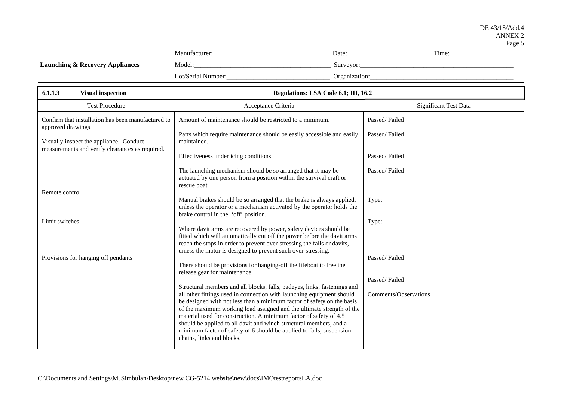| 'N<br>. . |
|-----------|
|-----------|

|                                            | Manufacturer <sup>.</sup> | Date:         | Time: |
|--------------------------------------------|---------------------------|---------------|-------|
| <b>Launching &amp; Recovery Appliances</b> | Model:                    | Surveyor:     |       |
|                                            | Lot/Serial Number:        | Organization: |       |

| 6.1.1.3<br><b>Visual inspection</b>                                                        | Regulations: LSA Code 6.1; III, 16.2                                                                                                                                                                                                                                                                                                                                                                                                                                                                                                                 |                                |
|--------------------------------------------------------------------------------------------|------------------------------------------------------------------------------------------------------------------------------------------------------------------------------------------------------------------------------------------------------------------------------------------------------------------------------------------------------------------------------------------------------------------------------------------------------------------------------------------------------------------------------------------------------|--------------------------------|
| <b>Test Procedure</b>                                                                      | Acceptance Criteria                                                                                                                                                                                                                                                                                                                                                                                                                                                                                                                                  | <b>Significant Test Data</b>   |
| Confirm that installation has been manufactured to<br>approved drawings.                   | Amount of maintenance should be restricted to a minimum.                                                                                                                                                                                                                                                                                                                                                                                                                                                                                             | Passed/Failed                  |
| Visually inspect the appliance. Conduct<br>measurements and verify clearances as required. | Parts which require maintenance should be easily accessible and easily<br>maintained.                                                                                                                                                                                                                                                                                                                                                                                                                                                                | Passed/Failed                  |
|                                                                                            | Effectiveness under icing conditions                                                                                                                                                                                                                                                                                                                                                                                                                                                                                                                 | Passed/Failed                  |
|                                                                                            | The launching mechanism should be so arranged that it may be<br>actuated by one person from a position within the survival craft or<br>rescue boat                                                                                                                                                                                                                                                                                                                                                                                                   | Passed/Failed                  |
| Remote control                                                                             | Manual brakes should be so arranged that the brake is always applied,<br>unless the operator or a mechanism activated by the operator holds the<br>brake control in the 'off' position.                                                                                                                                                                                                                                                                                                                                                              | Type:                          |
| Limit switches                                                                             | Where davit arms are recovered by power, safety devices should be<br>fitted which will automatically cut off the power before the davit arms<br>reach the stops in order to prevent over-stressing the falls or davits,<br>unless the motor is designed to prevent such over-stressing.                                                                                                                                                                                                                                                              | Type:                          |
| Provisions for hanging off pendants                                                        | There should be provisions for hanging-off the lifeboat to free the<br>release gear for maintenance                                                                                                                                                                                                                                                                                                                                                                                                                                                  | Passed/Failed<br>Passed/Failed |
|                                                                                            | Structural members and all blocks, falls, padeyes, links, fastenings and<br>all other fittings used in connection with launching equipment should<br>be designed with not less than a minimum factor of safety on the basis<br>of the maximum working load assigned and the ultimate strength of the<br>material used for construction. A minimum factor of safety of 4.5<br>should be applied to all davit and winch structural members, and a<br>minimum factor of safety of 6 should be applied to falls, suspension<br>chains, links and blocks. | Comments/Observations          |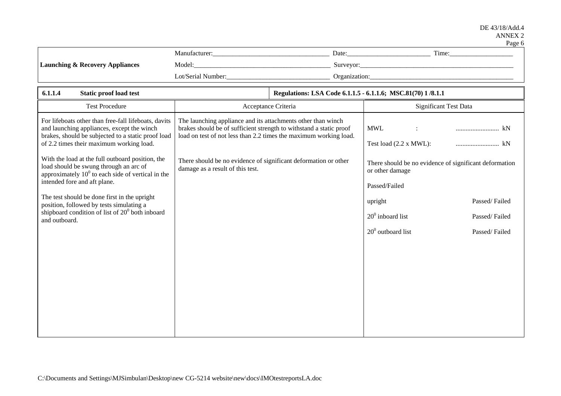#### DE 43/18/Add.4 ANNEX 2 Page 6

|                                            |                    |               | <b>L</b> dec |
|--------------------------------------------|--------------------|---------------|--------------|
|                                            | Manufacturer:      | Date:         | Time:        |
| <b>Launching &amp; Recovery Appliances</b> | Model:             | Surveyor:     |              |
|                                            | Lot/Serial Number: | Organization: |              |

| 6.1.1.4<br><b>Static proof load test</b>                                                                                                                                                             | Regulations: LSA Code 6.1.1.5 - 6.1.1.6; MSC.81(70) 1/8.1.1                                                                                                                                              |                                                                                                           |
|------------------------------------------------------------------------------------------------------------------------------------------------------------------------------------------------------|----------------------------------------------------------------------------------------------------------------------------------------------------------------------------------------------------------|-----------------------------------------------------------------------------------------------------------|
| <b>Test Procedure</b>                                                                                                                                                                                | Acceptance Criteria                                                                                                                                                                                      | Significant Test Data                                                                                     |
| For lifeboats other than free-fall lifeboats, davits<br>and launching appliances, except the winch<br>brakes, should be subjected to a static proof load<br>of 2.2 times their maximum working load. | The launching appliance and its attachments other than winch<br>brakes should be of sufficient strength to withstand a static proof<br>load on test of not less than 2.2 times the maximum working load. | <b>MWL</b><br>kN<br>$\ddot{\phantom{a}}$<br>Test load (2.2 x MWL):<br>kN                                  |
| With the load at the full outboard position, the<br>load should be swung through an arc of<br>approximately $100$ to each side of vertical in the<br>intended fore and aft plane.                    | There should be no evidence of significant deformation or other<br>damage as a result of this test.                                                                                                      | There should be no evidence of significant deformation<br>or other damage<br>Passed/Failed                |
| The test should be done first in the upright<br>position, followed by tests simulating a<br>shipboard condition of list of $200$ both inboard<br>and outboard.                                       |                                                                                                                                                                                                          | Passed/Failed<br>upright<br>$20^0$ inboard list<br>Passed/Failed<br>$20^0$ outboard list<br>Passed/Failed |
|                                                                                                                                                                                                      |                                                                                                                                                                                                          |                                                                                                           |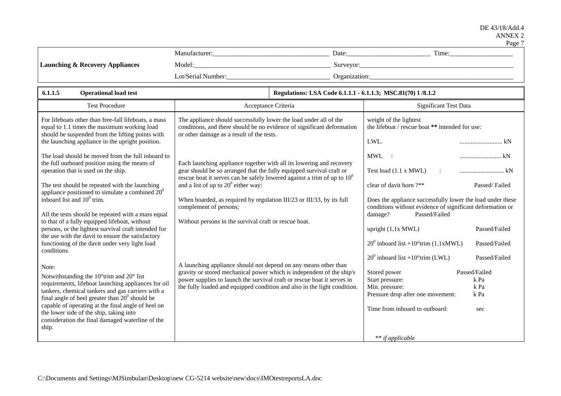|                                            |                           |               |       | a agu |
|--------------------------------------------|---------------------------|---------------|-------|-------|
|                                            | Manufacturer <sup>.</sup> | Date:         | Time: |       |
| <b>Launching &amp; Recovery Appliances</b> | Model:                    | Surveyor:     |       |       |
|                                            | Lot/Serial Number:        | Organization: |       |       |

| 6.1.1.5<br><b>Operational load test</b>                                                                                                                                                                                                                                                                                                                                                                                                                                                                                                                                          | Regulations: LSA Code 6.1.1.1 - 6.1.1.3; MSC.81(70) 1/8.1.2                                                                                                                                                                                                                                                                                                                                                                           |                                                                                                                                                                                                                                                                                                                                                                           |
|----------------------------------------------------------------------------------------------------------------------------------------------------------------------------------------------------------------------------------------------------------------------------------------------------------------------------------------------------------------------------------------------------------------------------------------------------------------------------------------------------------------------------------------------------------------------------------|---------------------------------------------------------------------------------------------------------------------------------------------------------------------------------------------------------------------------------------------------------------------------------------------------------------------------------------------------------------------------------------------------------------------------------------|---------------------------------------------------------------------------------------------------------------------------------------------------------------------------------------------------------------------------------------------------------------------------------------------------------------------------------------------------------------------------|
| <b>Test Procedure</b>                                                                                                                                                                                                                                                                                                                                                                                                                                                                                                                                                            | Acceptance Criteria                                                                                                                                                                                                                                                                                                                                                                                                                   | Significant Test Data                                                                                                                                                                                                                                                                                                                                                     |
| For lifeboats other than free-fall lifeboats, a mass<br>equal to 1.1 times the maximum working load<br>should be suspended from the lifting points with<br>the launching appliance in the upright position.                                                                                                                                                                                                                                                                                                                                                                      | The appliance should successfully lower the load under all of the<br>conditions, and there should be no evidence of significant deformation<br>or other damage as a result of the tests.                                                                                                                                                                                                                                              | weight of the lightest<br>the lifeboat / rescue boat ** intended for use:<br>LWL.<br>kN                                                                                                                                                                                                                                                                                   |
| The load should be moved from the full inboard to<br>the full outboard position using the means of<br>operation that is used on the ship.<br>The test should be repeated with the launching<br>appliance positioned to simulate a combined $20^0$<br>inboard list and 10 <sup>0</sup> trim.<br>All the tests should be repeated with a mass equal<br>to that of a fully equipped lifeboat, without<br>persons, or the lightest survival craft intended for<br>the use with the davit to ensure the satisfactory<br>functioning of the davit under very light load<br>conditions. | Each launching appliance together with all its lowering and recovery<br>gear should be so arranged that the fully equipped survival craft or<br>rescue boat it serves can be safely lowered against a trim of up to $100$<br>and a list of up to $20^{\circ}$ either way:<br>When boarded, as required by regulation III/23 or III/33, by its full<br>complement of persons;<br>Without persons in the survival craft or rescue boat. | <b>MWL</b><br>kN<br>Test load (1.1 x MWL)<br>$\ddot{\cdot}$<br>clear of davit horn ?**<br>Passed/Failed<br>Does the appliance successfully lower the load under these<br>conditions without evidence of significant deformation or<br>Passed/Failed<br>damage?<br>upright $(1, 1x$ MWL)<br>Passed/Failed<br>$20^{\circ}$ inboard list +10°trim (1.1xMWL)<br>Passed/Failed |
| Note:<br>Notwithstanding the 10°trim and 20° list<br>requirements, lifeboat launching appliances for oil<br>tankers, chemical tankers and gas carriers with a<br>final angle of heel greater than $20^{\circ}$ should be<br>capable of operating at the final angle of heel on<br>the lower side of the ship, taking into<br>consideration the final damaged waterline of the<br>ship.                                                                                                                                                                                           | A launching appliance should not depend on any means other than<br>gravity or stored mechanical power which is independent of the ship's<br>power supplies to launch the survival craft or rescue boat it serves in<br>the fully loaded and equipped condition and also in the light condition.                                                                                                                                       | $20^{\circ}$ inboard list +10°trim (LWL)<br>Passed/Failed<br>Passed/Failed<br>Stored power<br>Start pressure:<br>k Pa<br>k Pa<br>Min. pressure:<br>k Pa<br>Pressure drop after one movement:<br>Time from inboard to outboard:<br>sec<br>** if applicable                                                                                                                 |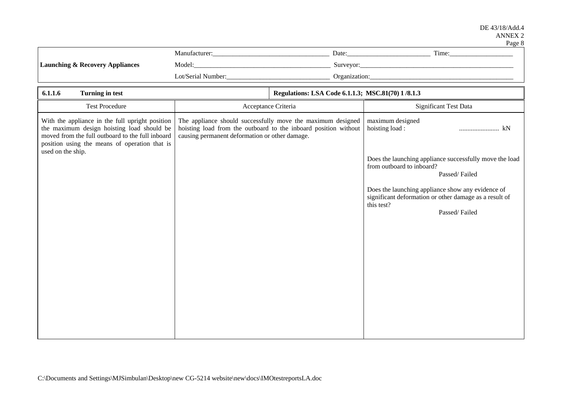#### DE 43/18/Add.4 ANNEX 2  $P_{30P}$   $\&$

|                                            |                    |               | <b>L</b> agu u |
|--------------------------------------------|--------------------|---------------|----------------|
|                                            | Manufacturer:      | Date:         | Time:          |
| <b>Launching &amp; Recovery Appliances</b> | Model:             | Surveyor:     |                |
|                                            | Lot/Serial Number: | Organization: |                |
|                                            |                    |               |                |

| 6.1.1.6<br><b>Turning in test</b><br>Regulations: LSA Code 6.1.1.3; MSC.81(70) 1/8.1.3                                                                                                                                  |                                                |                                                                                                                                |                                                                                                                                            |
|-------------------------------------------------------------------------------------------------------------------------------------------------------------------------------------------------------------------------|------------------------------------------------|--------------------------------------------------------------------------------------------------------------------------------|--------------------------------------------------------------------------------------------------------------------------------------------|
| <b>Test Procedure</b>                                                                                                                                                                                                   | Acceptance Criteria                            |                                                                                                                                | Significant Test Data                                                                                                                      |
| With the appliance in the full upright position<br>the maximum design hoisting load should be<br>moved from the full outboard to the full inboard<br>position using the means of operation that is<br>used on the ship. | causing permanent deformation or other damage. | The appliance should successfully move the maximum designed<br>hoisting load from the outboard to the inboard position without | maximum designed<br>hoisting load:<br>kN<br>                                                                                               |
|                                                                                                                                                                                                                         |                                                |                                                                                                                                | Does the launching appliance successfully move the load<br>from outboard to inboard?<br>Passed/Failed                                      |
|                                                                                                                                                                                                                         |                                                |                                                                                                                                | Does the launching appliance show any evidence of<br>significant deformation or other damage as a result of<br>this test?<br>Passed/Failed |
|                                                                                                                                                                                                                         |                                                |                                                                                                                                |                                                                                                                                            |
|                                                                                                                                                                                                                         |                                                |                                                                                                                                |                                                                                                                                            |
|                                                                                                                                                                                                                         |                                                |                                                                                                                                |                                                                                                                                            |
|                                                                                                                                                                                                                         |                                                |                                                                                                                                |                                                                                                                                            |
|                                                                                                                                                                                                                         |                                                |                                                                                                                                |                                                                                                                                            |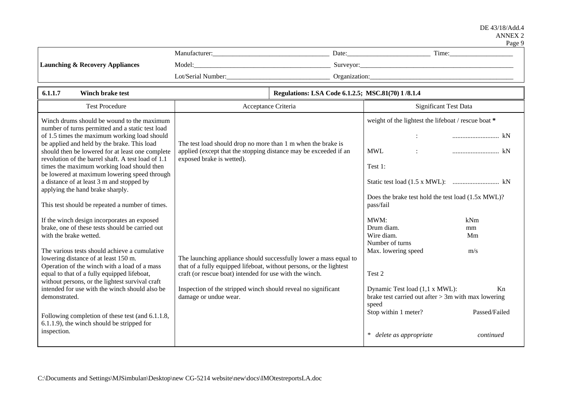| ٢. |
|----|
|----|

|                                            | Manufacturer:      | Date:         | Time: |
|--------------------------------------------|--------------------|---------------|-------|
| <b>Launching &amp; Recovery Appliances</b> | Model:             | Surveyor:     |       |
|                                            | Lot/Serial Number: | Organization: |       |

| 6.1.1.7<br><b>Winch brake test</b><br>Regulations: LSA Code 6.1.2.5; MSC.81(70) 1/8.1.4                                                          |                                                                                                                                  |  |                                                                                                  |               |
|--------------------------------------------------------------------------------------------------------------------------------------------------|----------------------------------------------------------------------------------------------------------------------------------|--|--------------------------------------------------------------------------------------------------|---------------|
| <b>Test Procedure</b>                                                                                                                            | Acceptance Criteria                                                                                                              |  | <b>Significant Test Data</b>                                                                     |               |
| Winch drums should be wound to the maximum<br>number of turns permitted and a static test load                                                   |                                                                                                                                  |  | weight of the lightest the lifeboat / rescue boat *                                              |               |
| of 1.5 times the maximum working load should<br>be applied and held by the brake. This load<br>should then be lowered for at least one complete  | The test load should drop no more than 1 m when the brake is<br>applied (except that the stopping distance may be exceeded if an |  | <b>MWL</b>                                                                                       |               |
| revolution of the barrel shaft. A test load of 1.1<br>times the maximum working load should then<br>be lowered at maximum lowering speed through | exposed brake is wetted).                                                                                                        |  | Test 1:                                                                                          |               |
| a distance of at least 3 m and stopped by<br>applying the hand brake sharply.                                                                    |                                                                                                                                  |  |                                                                                                  |               |
| This test should be repeated a number of times.                                                                                                  |                                                                                                                                  |  | Does the brake test hold the test load (1.5x MWL)?<br>pass/fail                                  |               |
| If the winch design incorporates an exposed                                                                                                      |                                                                                                                                  |  | MWM:                                                                                             | kNm           |
| brake, one of these tests should be carried out<br>with the brake wetted.                                                                        |                                                                                                                                  |  | Drum diam.<br>Wire diam.                                                                         | mm<br>Mm      |
| The various tests should achieve a cumulative<br>lowering distance of at least 150 m.                                                            | The launching appliance should successfully lower a mass equal to                                                                |  | Number of turns<br>Max. lowering speed                                                           | m/s           |
| Operation of the winch with a load of a mass<br>equal to that of a fully equipped lifeboat,<br>without persons, or the lightest survival craft   | that of a fully equipped lifeboat, without persons, or the lightest<br>craft (or rescue boat) intended for use with the winch.   |  | Test 2                                                                                           |               |
| intended for use with the winch should also be<br>demonstrated.                                                                                  | Inspection of the stripped winch should reveal no significant<br>damage or undue wear.                                           |  | Dynamic Test load (1,1 x MWL):<br>brake test carried out after $> 3m$ with max lowering<br>speed | Kn            |
| Following completion of these test (and 6.1.1.8,<br>6.1.1.9), the winch should be stripped for                                                   |                                                                                                                                  |  | Stop within 1 meter?                                                                             | Passed/Failed |
| inspection.                                                                                                                                      |                                                                                                                                  |  | $*$<br>delete as appropriate                                                                     | continued     |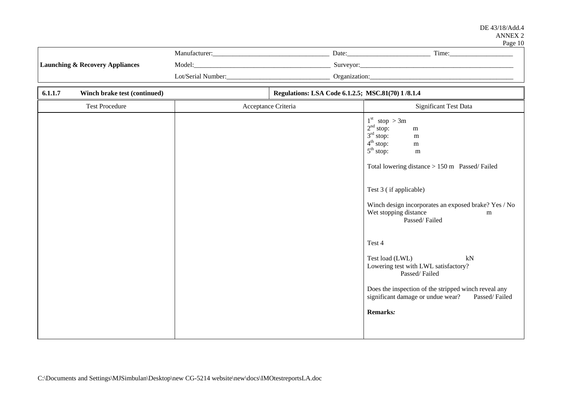### DE 43/18/Add.4 ANNEX 2 Page 10

|                                            | Manufacturer:      | Date:         | Time: |
|--------------------------------------------|--------------------|---------------|-------|
| <b>Launching &amp; Recovery Appliances</b> | Model:             | Surveyor:     |       |
|                                            | Lot/Serial Number: | Organization: |       |

| Regulations: LSA Code 6.1.2.5; MSC.81(70) 1/8.1.4<br>6.1.1.7<br>Winch brake test (continued) |                     |                                                                                                                                                                                                                                                                                                                                                                                                                                                                                                                                                                                |
|----------------------------------------------------------------------------------------------|---------------------|--------------------------------------------------------------------------------------------------------------------------------------------------------------------------------------------------------------------------------------------------------------------------------------------------------------------------------------------------------------------------------------------------------------------------------------------------------------------------------------------------------------------------------------------------------------------------------|
| <b>Test Procedure</b>                                                                        | Acceptance Criteria | Significant Test Data                                                                                                                                                                                                                                                                                                                                                                                                                                                                                                                                                          |
|                                                                                              |                     | $1st$ stop > 3m<br>2 <sup>nd</sup> stop:<br>m<br>3 <sup>rd</sup> stop:<br>${\bf m}$<br>4 <sup>th</sup> stop:<br>${\bf m}$<br>5 <sup>th</sup> stop:<br>${\bf m}$<br>Total lowering distance > 150 m Passed/Failed<br>Test 3 (if applicable)<br>Winch design incorporates an exposed brake? Yes / No<br>Wet stopping distance<br>m<br>Passed/Failed<br>Test 4<br>Test load (LWL)<br>kN<br>Lowering test with LWL satisfactory?<br>Passed/Failed<br>Does the inspection of the stripped winch reveal any<br>significant damage or undue wear?<br>Passed/Failed<br><b>Remarks:</b> |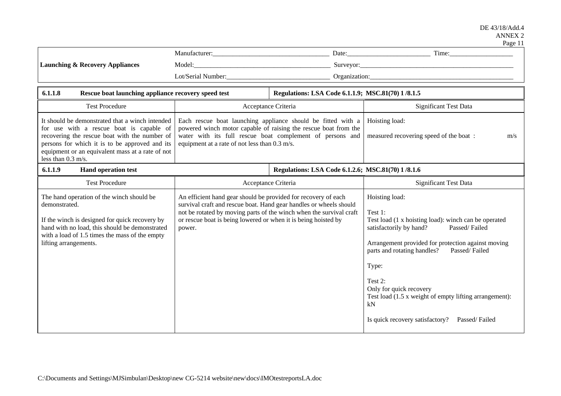|--|--|

|                                                                                                                                                                                                                                                                            |                                                                                                                                                                                                                                                                                         |                                                   | Time:                                                                                                                                                                                                                                                                                                                                                                                                  |
|----------------------------------------------------------------------------------------------------------------------------------------------------------------------------------------------------------------------------------------------------------------------------|-----------------------------------------------------------------------------------------------------------------------------------------------------------------------------------------------------------------------------------------------------------------------------------------|---------------------------------------------------|--------------------------------------------------------------------------------------------------------------------------------------------------------------------------------------------------------------------------------------------------------------------------------------------------------------------------------------------------------------------------------------------------------|
| <b>Launching &amp; Recovery Appliances</b>                                                                                                                                                                                                                                 |                                                                                                                                                                                                                                                                                         |                                                   |                                                                                                                                                                                                                                                                                                                                                                                                        |
|                                                                                                                                                                                                                                                                            |                                                                                                                                                                                                                                                                                         |                                                   |                                                                                                                                                                                                                                                                                                                                                                                                        |
| 6.1.1.8<br>Rescue boat launching appliance recovery speed test                                                                                                                                                                                                             |                                                                                                                                                                                                                                                                                         | Regulations: LSA Code 6.1.1.9; MSC.81(70) 1/8.1.5 |                                                                                                                                                                                                                                                                                                                                                                                                        |
| <b>Test Procedure</b>                                                                                                                                                                                                                                                      | Acceptance Criteria                                                                                                                                                                                                                                                                     |                                                   | Significant Test Data                                                                                                                                                                                                                                                                                                                                                                                  |
| It should be demonstrated that a winch intended<br>for use with a rescue boat is capable of<br>recovering the rescue boat with the number of<br>persons for which it is to be approved and its<br>equipment or an equivalent mass at a rate of not<br>less than $0.3$ m/s. | Each rescue boat launching appliance should be fitted with a<br>powered winch motor capable of raising the rescue boat from the<br>water with its full rescue boat complement of persons and<br>equipment at a rate of not less than 0.3 m/s.                                           |                                                   | Hoisting load:<br>measured recovering speed of the boat :<br>m/s                                                                                                                                                                                                                                                                                                                                       |
| 6.1.1.9<br><b>Hand operation test</b>                                                                                                                                                                                                                                      |                                                                                                                                                                                                                                                                                         | Regulations: LSA Code 6.1.2.6; MSC.81(70) 1/8.1.6 |                                                                                                                                                                                                                                                                                                                                                                                                        |
| <b>Test Procedure</b>                                                                                                                                                                                                                                                      | Acceptance Criteria                                                                                                                                                                                                                                                                     |                                                   | <b>Significant Test Data</b>                                                                                                                                                                                                                                                                                                                                                                           |
| The hand operation of the winch should be<br>demonstrated.<br>If the winch is designed for quick recovery by<br>hand with no load, this should be demonstrated<br>with a load of 1.5 times the mass of the empty<br>lifting arrangements.                                  | An efficient hand gear should be provided for recovery of each<br>survival craft and rescue boat. Hand gear handles or wheels should<br>not be rotated by moving parts of the winch when the survival craft<br>or rescue boat is being lowered or when it is being hoisted by<br>power. |                                                   | Hoisting load:<br>Test 1:<br>Test load (1 x hoisting load): winch can be operated<br>satisfactorily by hand?<br>Passed/Failed<br>Arrangement provided for protection against moving<br>parts and rotating handles?<br>Passed/Failed<br>Type:<br>Test 2:<br>Only for quick recovery<br>Test load (1.5 x weight of empty lifting arrangement):<br>kN<br>Is quick recovery satisfactory?<br>Passed/Failed |